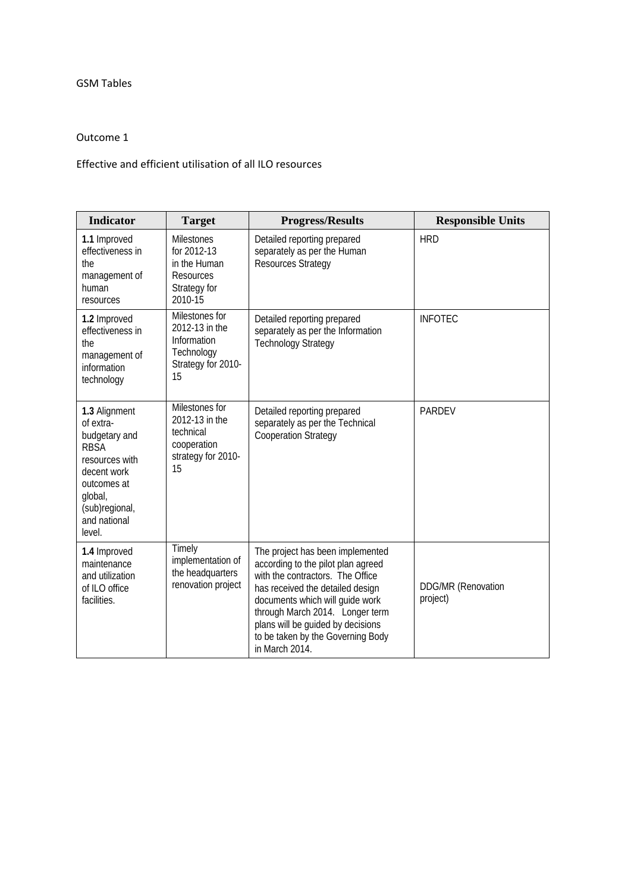## GSM Tables

## Outcome 1

## Effective and efficient utilisation of all ILO resources

| <b>Indicator</b>                                                                                                                                                  | <b>Target</b>                                                                             | <b>Progress/Results</b>                                                                                                                                                                                                                                                                                          | <b>Responsible Units</b>              |
|-------------------------------------------------------------------------------------------------------------------------------------------------------------------|-------------------------------------------------------------------------------------------|------------------------------------------------------------------------------------------------------------------------------------------------------------------------------------------------------------------------------------------------------------------------------------------------------------------|---------------------------------------|
| 1.1 Improved<br>effectiveness in<br>the<br>management of<br>human<br>resources                                                                                    | <b>Milestones</b><br>for 2012-13<br>in the Human<br>Resources<br>Strategy for<br>2010-15  | Detailed reporting prepared<br>separately as per the Human<br><b>Resources Strategy</b>                                                                                                                                                                                                                          | <b>HRD</b>                            |
| 1.2 Improved<br>effectiveness in<br>the<br>management of<br>information<br>technology                                                                             | Milestones for<br>2012-13 in the<br>Information<br>Technology<br>Strategy for 2010-<br>15 | Detailed reporting prepared<br>separately as per the Information<br><b>Technology Strategy</b>                                                                                                                                                                                                                   | <b>INFOTEC</b>                        |
| 1.3 Alignment<br>of extra-<br>budgetary and<br><b>RBSA</b><br>resources with<br>decent work<br>outcomes at<br>global,<br>(sub)regional,<br>and national<br>level. | Milestones for<br>2012-13 in the<br>technical<br>cooperation<br>strategy for 2010-<br>15  | Detailed reporting prepared<br>separately as per the Technical<br><b>Cooperation Strategy</b>                                                                                                                                                                                                                    | <b>PARDEV</b>                         |
| 1.4 Improved<br>maintenance<br>and utilization<br>of ILO office<br>facilities.                                                                                    | Timely<br>implementation of<br>the headquarters<br>renovation project                     | The project has been implemented<br>according to the pilot plan agreed<br>with the contractors. The Office<br>has received the detailed design<br>documents which will guide work<br>through March 2014. Longer term<br>plans will be guided by decisions<br>to be taken by the Governing Body<br>in March 2014. | <b>DDG/MR (Renovation</b><br>project) |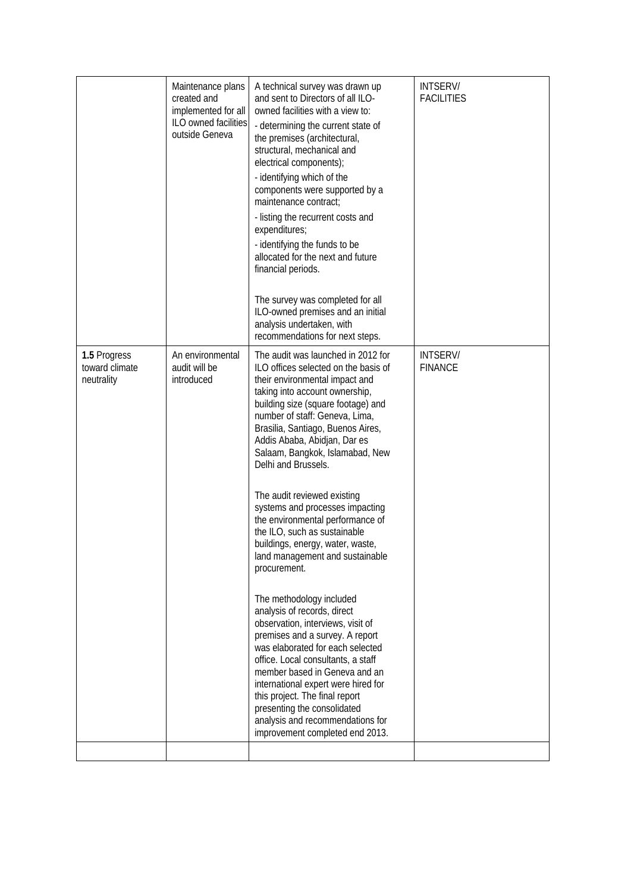|                                              | Maintenance plans<br>created and<br>implemented for all<br>ILO owned facilities<br>outside Geneva | A technical survey was drawn up<br>and sent to Directors of all ILO-<br>owned facilities with a view to:<br>- determining the current state of<br>the premises (architectural,<br>structural, mechanical and<br>electrical components);<br>- identifying which of the<br>components were supported by a<br>maintenance contract:<br>- listing the recurrent costs and<br>expenditures;<br>- identifying the funds to be<br>allocated for the next and future<br>financial periods.<br>The survey was completed for all<br>ILO-owned premises and an initial<br>analysis undertaken, with<br>recommendations for next steps.                                                                                                                                                                                                                                                                                                                                                                                     | <b>INTSERV/</b><br><b>FACILITIES</b> |
|----------------------------------------------|---------------------------------------------------------------------------------------------------|-----------------------------------------------------------------------------------------------------------------------------------------------------------------------------------------------------------------------------------------------------------------------------------------------------------------------------------------------------------------------------------------------------------------------------------------------------------------------------------------------------------------------------------------------------------------------------------------------------------------------------------------------------------------------------------------------------------------------------------------------------------------------------------------------------------------------------------------------------------------------------------------------------------------------------------------------------------------------------------------------------------------|--------------------------------------|
| 1.5 Progress<br>toward climate<br>neutrality | An environmental<br>audit will be<br>introduced                                                   | The audit was launched in 2012 for<br>ILO offices selected on the basis of<br>their environmental impact and<br>taking into account ownership,<br>building size (square footage) and<br>number of staff: Geneva, Lima,<br>Brasilia, Santiago, Buenos Aires,<br>Addis Ababa, Abidjan, Dar es<br>Salaam, Bangkok, Islamabad, New<br>Delhi and Brussels.<br>The audit reviewed existing<br>systems and processes impacting<br>the environmental performance of<br>the ILO, such as sustainable<br>buildings, energy, water, waste,<br>land management and sustainable<br>procurement.<br>The methodology included<br>analysis of records, direct<br>observation, interviews, visit of<br>premises and a survey. A report<br>was elaborated for each selected<br>office. Local consultants, a staff<br>member based in Geneva and an<br>international expert were hired for<br>this project. The final report<br>presenting the consolidated<br>analysis and recommendations for<br>improvement completed end 2013. | <b>INTSERV/</b><br><b>FINANCE</b>    |
|                                              |                                                                                                   |                                                                                                                                                                                                                                                                                                                                                                                                                                                                                                                                                                                                                                                                                                                                                                                                                                                                                                                                                                                                                 |                                      |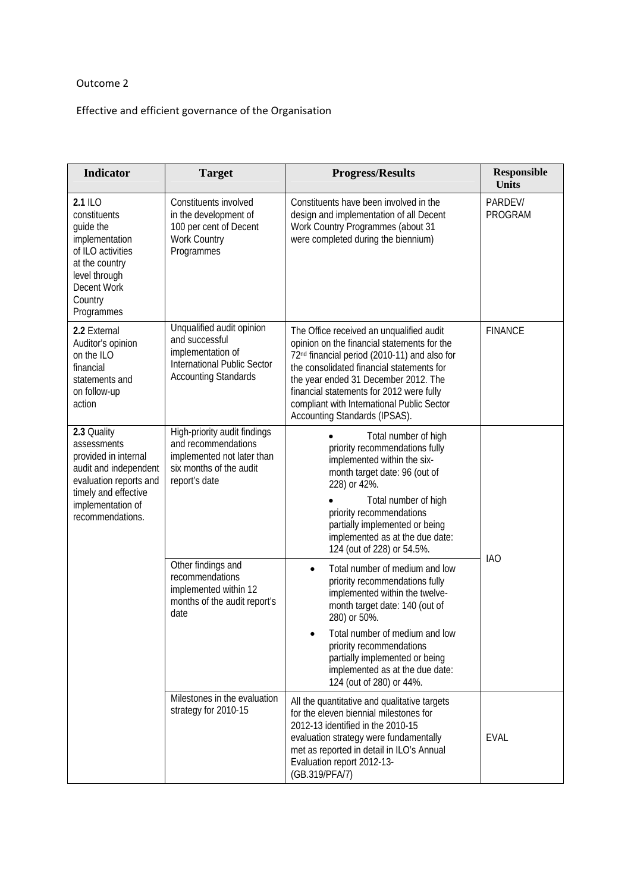## Outcome 2

Effective and efficient governance of the Organisation

| Indicator                                                                                                                                                              | <b>Target</b>                                                                                                                                                                                                                                                                                                                                                                                                                  | <b>Progress/Results</b>                                                                                                                                                                                                                                                                                                                                             | <b>Responsible</b><br><b>Units</b> |  |
|------------------------------------------------------------------------------------------------------------------------------------------------------------------------|--------------------------------------------------------------------------------------------------------------------------------------------------------------------------------------------------------------------------------------------------------------------------------------------------------------------------------------------------------------------------------------------------------------------------------|---------------------------------------------------------------------------------------------------------------------------------------------------------------------------------------------------------------------------------------------------------------------------------------------------------------------------------------------------------------------|------------------------------------|--|
| 2.1 ILO<br>constituents<br>guide the<br>implementation<br>of ILO activities<br>at the country<br>level through<br><b>Decent Work</b><br>Country<br>Programmes          | Constituents involved<br>in the development of<br>100 per cent of Decent<br>Work Country<br>Programmes                                                                                                                                                                                                                                                                                                                         | Constituents have been involved in the<br>design and implementation of all Decent<br>Work Country Programmes (about 31<br>were completed during the biennium)                                                                                                                                                                                                       | PARDEV/<br>PROGRAM                 |  |
| 2.2 External<br>Auditor's opinion<br>on the ILO<br>financial<br>statements and<br>on follow-up<br>action                                                               | Unqualified audit opinion<br>and successful<br>implementation of<br><b>International Public Sector</b><br><b>Accounting Standards</b>                                                                                                                                                                                                                                                                                          | The Office received an unqualified audit<br>opinion on the financial statements for the<br>72 <sup>nd</sup> financial period (2010-11) and also for<br>the consolidated financial statements for<br>the year ended 31 December 2012. The<br>financial statements for 2012 were fully<br>compliant with International Public Sector<br>Accounting Standards (IPSAS). | <b>FINANCE</b>                     |  |
| 2.3 Quality<br>assessments<br>provided in internal<br>audit and independent<br>evaluation reports and<br>timely and effective<br>implementation of<br>recommendations. | High-priority audit findings<br>Total number of high<br>and recommendations<br>priority recommendations fully<br>implemented not later than<br>implemented within the six-<br>six months of the audit<br>month target date: 96 (out of<br>report's date<br>228) or 42%.<br>Total number of high<br>priority recommendations<br>partially implemented or being<br>implemented as at the due date:<br>124 (out of 228) or 54.5%. |                                                                                                                                                                                                                                                                                                                                                                     |                                    |  |
|                                                                                                                                                                        | Other findings and<br>recommendations<br>implemented within 12<br>months of the audit report's<br>date                                                                                                                                                                                                                                                                                                                         | Total number of medium and low<br>$\bullet$<br>priority recommendations fully<br>implemented within the twelve-<br>month target date: 140 (out of<br>280) or 50%.<br>Total number of medium and low<br>priority recommendations<br>partially implemented or being<br>implemented as at the due date:<br>124 (out of 280) or 44%.                                    | <b>IAO</b>                         |  |
|                                                                                                                                                                        | Milestones in the evaluation<br>strategy for 2010-15                                                                                                                                                                                                                                                                                                                                                                           | All the quantitative and qualitative targets<br>for the eleven biennial milestones for<br>2012-13 identified in the 2010-15<br>evaluation strategy were fundamentally<br>met as reported in detail in ILO's Annual<br>Evaluation report 2012-13-<br>(GB.319/PFA/7)                                                                                                  | <b>EVAL</b>                        |  |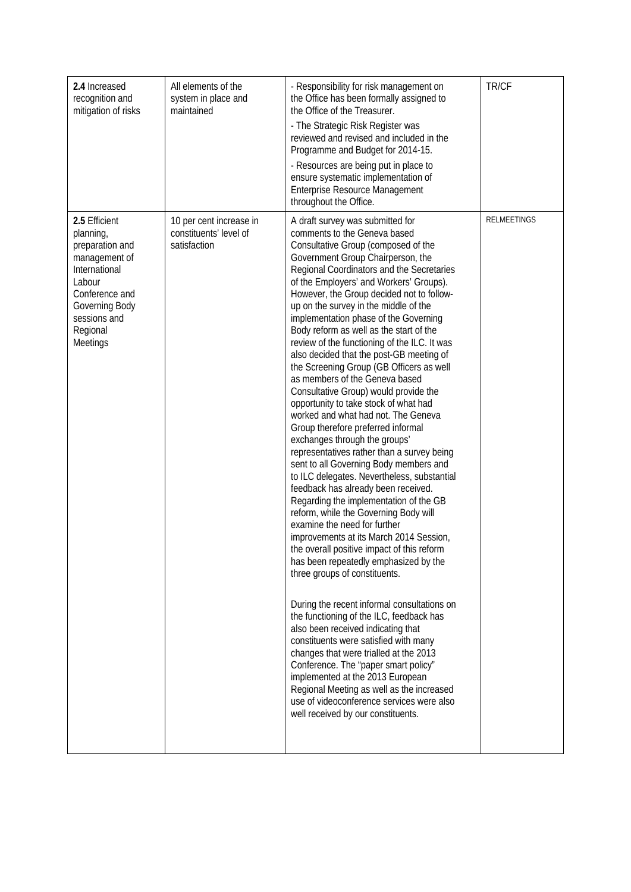| 2.4 Increased<br>recognition and<br>mitigation of risks                                                                                                               | All elements of the<br>system in place and<br>maintained          | - Responsibility for risk management on<br>the Office has been formally assigned to<br>the Office of the Treasurer.<br>- The Strategic Risk Register was<br>reviewed and revised and included in the<br>Programme and Budget for 2014-15.<br>- Resources are being put in place to<br>ensure systematic implementation of<br>Enterprise Resource Management<br>throughout the Office.                                                                                                                                                                                                                                                                                                                                                                                                                                                                                                                                                                                                                                                                                                                                                                                                                                                                                                                                                                                                                                                                                                                                                                                                                                                                                                        | TR/CF       |
|-----------------------------------------------------------------------------------------------------------------------------------------------------------------------|-------------------------------------------------------------------|----------------------------------------------------------------------------------------------------------------------------------------------------------------------------------------------------------------------------------------------------------------------------------------------------------------------------------------------------------------------------------------------------------------------------------------------------------------------------------------------------------------------------------------------------------------------------------------------------------------------------------------------------------------------------------------------------------------------------------------------------------------------------------------------------------------------------------------------------------------------------------------------------------------------------------------------------------------------------------------------------------------------------------------------------------------------------------------------------------------------------------------------------------------------------------------------------------------------------------------------------------------------------------------------------------------------------------------------------------------------------------------------------------------------------------------------------------------------------------------------------------------------------------------------------------------------------------------------------------------------------------------------------------------------------------------------|-------------|
| 2.5 Efficient<br>planning,<br>preparation and<br>management of<br>International<br>Labour<br>Conference and<br>Governing Body<br>sessions and<br>Regional<br>Meetings | 10 per cent increase in<br>constituents' level of<br>satisfaction | A draft survey was submitted for<br>comments to the Geneva based<br>Consultative Group (composed of the<br>Government Group Chairperson, the<br>Regional Coordinators and the Secretaries<br>of the Employers' and Workers' Groups).<br>However, the Group decided not to follow-<br>up on the survey in the middle of the<br>implementation phase of the Governing<br>Body reform as well as the start of the<br>review of the functioning of the ILC. It was<br>also decided that the post-GB meeting of<br>the Screening Group (GB Officers as well<br>as members of the Geneva based<br>Consultative Group) would provide the<br>opportunity to take stock of what had<br>worked and what had not. The Geneva<br>Group therefore preferred informal<br>exchanges through the groups'<br>representatives rather than a survey being<br>sent to all Governing Body members and<br>to ILC delegates. Nevertheless, substantial<br>feedback has already been received.<br>Regarding the implementation of the GB<br>reform, while the Governing Body will<br>examine the need for further<br>improvements at its March 2014 Session,<br>the overall positive impact of this reform<br>has been repeatedly emphasized by the<br>three groups of constituents.<br>During the recent informal consultations on<br>the functioning of the ILC, feedback has<br>also been received indicating that<br>constituents were satisfied with many<br>changes that were trialled at the 2013<br>Conference. The "paper smart policy"<br>implemented at the 2013 European<br>Regional Meeting as well as the increased<br>use of videoconference services were also<br>well received by our constituents. | RELMEETINGS |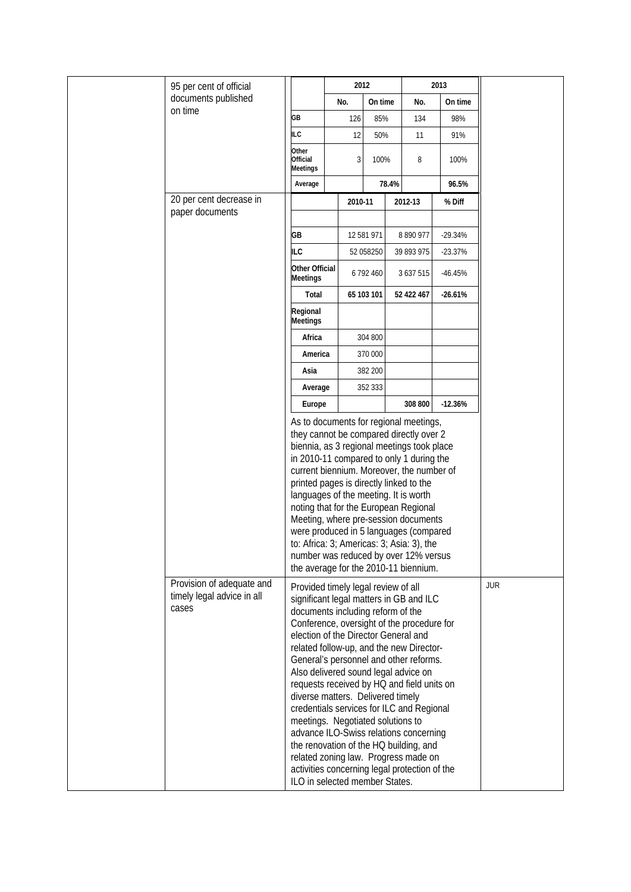| 95 per cent of official                                          |                                   |                                                                                                                                                                                                                                                                                                                                                                                                                                                                                                                                                                                                                                                                                                                             | 2012       |       | 2013       |           |  |
|------------------------------------------------------------------|-----------------------------------|-----------------------------------------------------------------------------------------------------------------------------------------------------------------------------------------------------------------------------------------------------------------------------------------------------------------------------------------------------------------------------------------------------------------------------------------------------------------------------------------------------------------------------------------------------------------------------------------------------------------------------------------------------------------------------------------------------------------------------|------------|-------|------------|-----------|--|
| documents published                                              |                                   | No.                                                                                                                                                                                                                                                                                                                                                                                                                                                                                                                                                                                                                                                                                                                         | On time    |       | No.        | On time   |  |
| on time                                                          | GB                                | 126                                                                                                                                                                                                                                                                                                                                                                                                                                                                                                                                                                                                                                                                                                                         | 85%        |       | 134        | 98%       |  |
|                                                                  | <b>ILC</b>                        | 12                                                                                                                                                                                                                                                                                                                                                                                                                                                                                                                                                                                                                                                                                                                          | 50%        |       | 11         | 91%       |  |
|                                                                  | Other<br>Official<br>Meetings     | 3                                                                                                                                                                                                                                                                                                                                                                                                                                                                                                                                                                                                                                                                                                                           | 100%       |       | 8          | 100%      |  |
|                                                                  | Average                           |                                                                                                                                                                                                                                                                                                                                                                                                                                                                                                                                                                                                                                                                                                                             |            | 78.4% |            | 96.5%     |  |
| 20 per cent decrease in                                          |                                   | 2010-11                                                                                                                                                                                                                                                                                                                                                                                                                                                                                                                                                                                                                                                                                                                     |            |       | 2012-13    | % Diff    |  |
| paper documents                                                  |                                   |                                                                                                                                                                                                                                                                                                                                                                                                                                                                                                                                                                                                                                                                                                                             |            |       |            |           |  |
|                                                                  | GB                                |                                                                                                                                                                                                                                                                                                                                                                                                                                                                                                                                                                                                                                                                                                                             | 12 581 971 |       | 8 890 977  | $-29.34%$ |  |
|                                                                  | <b>ILC</b>                        |                                                                                                                                                                                                                                                                                                                                                                                                                                                                                                                                                                                                                                                                                                                             | 52 058250  |       | 39 893 975 | $-23.37%$ |  |
|                                                                  | Other Official<br><b>Meetings</b> |                                                                                                                                                                                                                                                                                                                                                                                                                                                                                                                                                                                                                                                                                                                             | 6792460    |       | 3 637 515  | $-46.45%$ |  |
|                                                                  | Total                             |                                                                                                                                                                                                                                                                                                                                                                                                                                                                                                                                                                                                                                                                                                                             | 65 103 101 |       | 52 422 467 | $-26.61%$ |  |
|                                                                  | Regional<br><b>Meetings</b>       |                                                                                                                                                                                                                                                                                                                                                                                                                                                                                                                                                                                                                                                                                                                             |            |       |            |           |  |
|                                                                  | Africa                            |                                                                                                                                                                                                                                                                                                                                                                                                                                                                                                                                                                                                                                                                                                                             | 304 800    |       |            |           |  |
|                                                                  | America                           |                                                                                                                                                                                                                                                                                                                                                                                                                                                                                                                                                                                                                                                                                                                             | 370 000    |       |            |           |  |
|                                                                  | Asia                              |                                                                                                                                                                                                                                                                                                                                                                                                                                                                                                                                                                                                                                                                                                                             | 382 200    |       |            |           |  |
|                                                                  | Average                           |                                                                                                                                                                                                                                                                                                                                                                                                                                                                                                                                                                                                                                                                                                                             | 352 333    |       |            |           |  |
|                                                                  | Europe                            |                                                                                                                                                                                                                                                                                                                                                                                                                                                                                                                                                                                                                                                                                                                             |            |       | 308 800    | $-12.36%$ |  |
|                                                                  |                                   | As to documents for regional meetings,<br>they cannot be compared directly over 2<br>biennia, as 3 regional meetings took place<br>in 2010-11 compared to only 1 during the<br>current biennium. Moreover, the number of<br>printed pages is directly linked to the<br>languages of the meeting. It is worth<br>noting that for the European Regional<br>Meeting, where pre-session documents<br>were produced in 5 languages (compared<br>to: Africa: 3; Americas: 3; Asia: 3), the<br>number was reduced by over 12% versus<br>the average for the 2010-11 biennium.                                                                                                                                                      |            |       |            |           |  |
| Provision of adequate and<br>timely legal advice in all<br>cases |                                   | Provided timely legal review of all<br>significant legal matters in GB and ILC<br>documents including reform of the<br>Conference, oversight of the procedure for<br>election of the Director General and<br>related follow-up, and the new Director-<br>General's personnel and other reforms.<br>Also delivered sound legal advice on<br>requests received by HQ and field units on<br>diverse matters. Delivered timely<br>credentials services for ILC and Regional<br>meetings. Negotiated solutions to<br>advance ILO-Swiss relations concerning<br>the renovation of the HQ building, and<br>related zoning law. Progress made on<br>activities concerning legal protection of the<br>ILO in selected member States. |            |       | <b>JUR</b> |           |  |